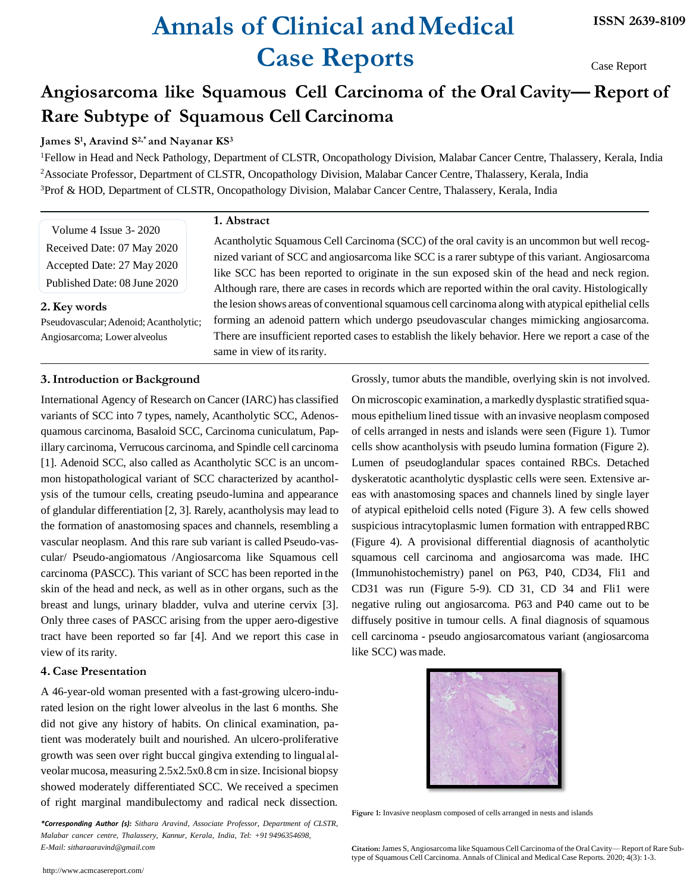# **Annals of Clinical andMedical Case Reports**

Case Report

## **Angiosarcoma like Squamous Cell Carcinoma of the Oral Cavity— Report of Rare Subtype of Squamous Cell Carcinoma**

### **James S<sup>1</sup> , Aravind S2,\* and Nayanar KS<sup>3</sup>**

<sup>1</sup>Fellow in Head and Neck Pathology, Department of CLSTR, Oncopathology Division, Malabar Cancer Centre, Thalassery, Kerala, India <sup>2</sup>Associate Professor, Department of CLSTR, Oncopathology Division, Malabar Cancer Centre, Thalassery, Kerala, India <sup>3</sup>Prof & HOD, Department of CLSTR, Oncopathology Division, Malabar Cancer Centre, Thalassery, Kerala, India

**1. Abstract**

Volume 4 Issue 3- 2020 Received Date: 07 May 2020 Accepted Date: 27 May 2020 Published Date: 08 June 2020

#### **2.Key words**

Pseudovascular; Adenoid; Acantholytic; Angiosarcoma; Lower alveolus

Acantholytic Squamous Cell Carcinoma (SCC) of the oral cavity is an uncommon but well recognized variant of SCC and angiosarcoma like SCC is a rarer subtype of this variant. Angiosarcoma like SCC has been reported to originate in the sun exposed skin of the head and neck region. Although rare, there are cases in records which are reported within the oral cavity. Histologically the lesion shows areas of conventional squamous cell carcinoma along with atypical epithelial cells forming an adenoid pattern which undergo pseudovascular changes mimicking angiosarcoma. There are insufficient reported cases to establish the likely behavior. Here we report a case of the same in view of its rarity.

### **3.Introduction or Background**

International Agency of Research on Cancer (IARC) has classified variants of SCC into 7 types, namely, Acantholytic SCC, Adenosquamous carcinoma, Basaloid SCC, Carcinoma cuniculatum, Papillary carcinoma, Verrucous carcinoma, and Spindle cell carcinoma [1]. Adenoid SCC, also called as Acantholytic SCC is an uncommon histopathological variant of SCC characterized by acantholysis of the tumour cells, creating pseudo-lumina and appearance of glandular differentiation [2, 3]. Rarely, acantholysis may lead to the formation of anastomosing spaces and channels, resembling a vascular neoplasm. And this rare sub variant is called Pseudo-vascular/ Pseudo-angiomatous /Angiosarcoma like Squamous cell carcinoma (PASCC). This variant of SCC has been reported in the skin of the head and neck, as well as in other organs, such as the breast and lungs, urinary bladder, vulva and uterine cervix [3]. Only three cases of PASCC arising from the upper aero-digestive tract have been reported so far [4]. And we report this case in view of its rarity.

### **4.Case Presentation**

A 46-year-old woman presented with a fast-growing ulcero-indurated lesion on the right lower alveolus in the last 6 months. She did not give any history of habits. On clinical examination, patient was moderately built and nourished. An ulcero-proliferative growth was seen over right buccal gingiva extending to lingual alveolarmucosa, measuring 2.5x2.5x0.8 cm in size. Incisional biopsy showed moderately differentiated SCC. We received a specimen of right marginal mandibulectomy and radical neck dissection.

*\*Corresponding Author (s): Sithara Aravind, Associate Professor, Department of CLSTR, Malabar cancer centre, Thalassery, Kannur, Kerala, India, Tel: +91 9496354698, E-Mail: sitharaaravind@gmail.com*

<http://www.acmcasereport.com/>

Grossly, tumor abuts the mandible, overlying skin is not involved.

On microscopic examination, a markedly dysplastic stratified squamous epithelium lined tissue with an invasive neoplasm composed of cells arranged in nests and islands were seen (Figure 1). Tumor cells show acantholysis with pseudo lumina formation (Figure 2). Lumen of pseudoglandular spaces contained RBCs. Detached dyskeratotic acantholytic dysplastic cells were seen. Extensive areas with anastomosing spaces and channels lined by single layer of atypical epitheloid cells noted (Figure 3). A few cells showed suspicious intracytoplasmic lumen formation with entrappedRBC (Figure 4). A provisional differential diagnosis of acantholytic squamous cell carcinoma and angiosarcoma was made. IHC (Immunohistochemistry) panel on P63, P40, CD34, Fli1 and CD31 was run (Figure 5-9). CD 31, CD 34 and Fli1 were negative ruling out angiosarcoma. P63 and P40 came out to be diffusely positive in tumour cells. A final diagnosis of squamous cell carcinoma - pseudo angiosarcomatous variant (angiosarcoma like SCC) was made.



**Figure 1:** Invasive neoplasm composed of cells arranged in nests and islands

**Citation:**James S, Angiosarcoma like Squamous Cell Carcinoma of the Oral Cavity— Report of Rare Subtype of Squamous Cell Carcinoma. Annals of Clinical and Medical Case Reports. 2020; 4(3): 1-3.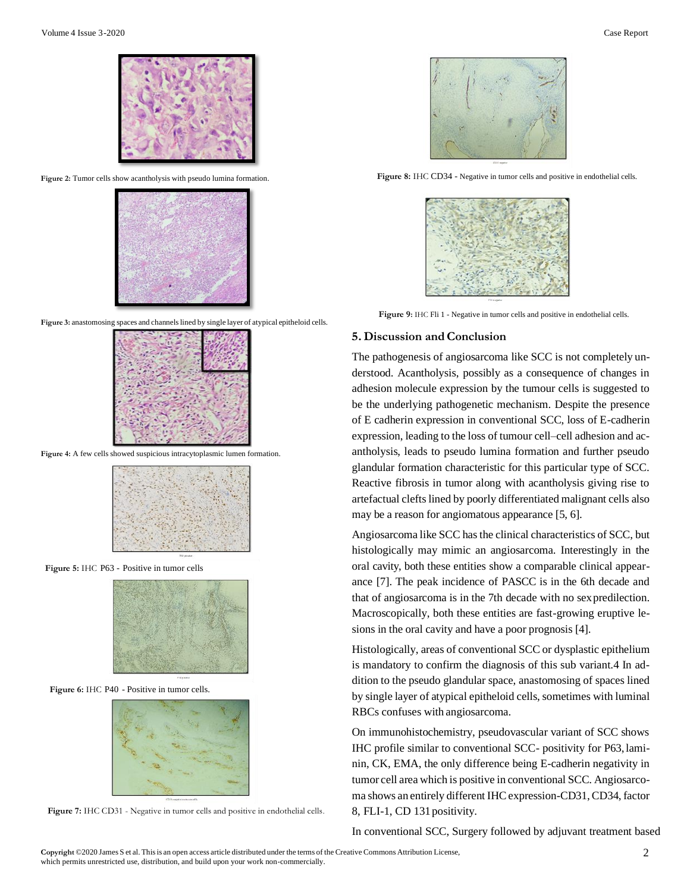**Figure 2:** Tumor cells show acantholysis with pseudo lumina formation.



**Figure 3:** anastomosing spaces and channelslined by single layer of atypical epitheloid cells.



**Figure 4:** A few cells showed suspicious intracytoplasmic lumen formation.



**Figure 5:** IHC P63 - Positive in tumor cells



 **Figure 6:** IHC P40 - Positive in tumor cells.







**Figure 8:** IHC CD34 - Negative in tumor cells and positive in endothelial cells.



 **Figure 9:** IHC Fli 1 - Negative in tumor cells and positive in endothelial cells.

#### **5. Discussion and Conclusion**

The pathogenesis of angiosarcoma like SCC is not completely understood. Acantholysis, possibly as a consequence of changes in adhesion molecule expression by the tumour cells is suggested to be the underlying pathogenetic mechanism. Despite the presence of E cadherin expression in conventional SCC, loss of E-cadherin expression, leading to the loss of tumour cell–cell adhesion and acantholysis, leads to pseudo lumina formation and further pseudo glandular formation characteristic for this particular type of SCC. Reactive fibrosis in tumor along with acantholysis giving rise to artefactual cleftslined by poorly differentiated malignant cells also may be a reason for angiomatous appearance [5, 6].

Angiosarcoma like SCC has the clinical characteristics of SCC, but histologically may mimic an angiosarcoma. Interestingly in the oral cavity, both these entities show a comparable clinical appearance [7]. The peak incidence of PASCC is in the 6th decade and that of angiosarcoma is in the 7th decade with no sexpredilection. Macroscopically, both these entities are fast-growing eruptive lesions in the oral cavity and have a poor prognosis [4].

Histologically, areas of conventional SCC or dysplastic epithelium is mandatory to confirm the diagnosis of this sub variant.4 In addition to the pseudo glandular space, anastomosing of spaces lined by single layer of atypical epitheloid cells, sometimes with luminal RBCs confuses with angiosarcoma.

On immunohistochemistry, pseudovascular variant of SCC shows IHC profile similar to conventional SCC- positivity for P63, laminin, CK, EMA, the only difference being E-cadherin negativity in tumor cell area which is positive in conventional SCC. Angiosarcoma shows an entirely different IHC expression-CD31, CD34, factor 8, FLI-1, CD 131positivity.

In conventional SCC, Surgery followed by adjuvant treatment based